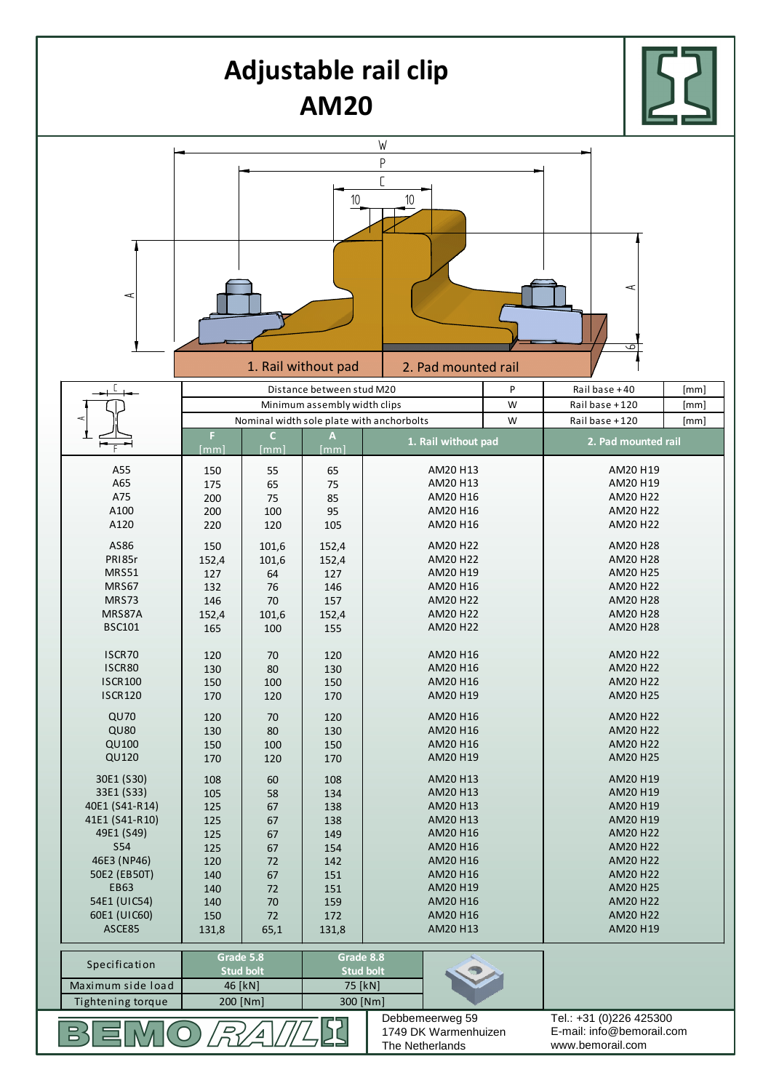